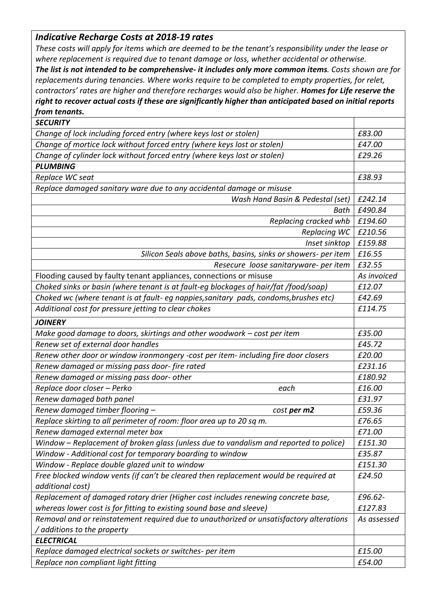## *Indicative Recharge Costs at 2018-19 rates*

*These costs will apply for items which are deemed to be the tenant's responsibility under the lease or where replacement is required due to tenant damage or loss, whether accidental or otherwise.*

*The list is not intended to be comprehensive- it includes only more common items. Costs shown are for replacements during tenancies. Where works require to be completed to empty properties, for relet, contractors' rates are higher and therefore recharges would also be higher. Homes for Life reserve the right to recover actual costs if these are significantly higher than anticipated based on initial reports from tenants.*

| <b>SECURITY</b>                                                                         |             |
|-----------------------------------------------------------------------------------------|-------------|
| Change of lock including forced entry (where keys lost or stolen)                       | £83.00      |
| Change of mortice lock without forced entry (where keys lost or stolen)                 | £47.00      |
| Change of cylinder lock without forced entry (where keys lost or stolen)                | £29.26      |
| <b>PLUMBING</b>                                                                         |             |
| Replace WC seat                                                                         | £38.93      |
| Replace damaged sanitary ware due to any accidental damage or misuse                    |             |
| Wash Hand Basin & Pedestal (set)                                                        | £242.14     |
| Bath                                                                                    | £490.84     |
| Replacing cracked whb                                                                   | £194.60     |
| <b>Replacing WC</b>                                                                     | £210.56     |
| Inset sinktop                                                                           | £159.88     |
| Silicon Seals above baths, basins, sinks or showers- per item                           | £16.55      |
| Resecure loose sanitaryware- per item                                                   | £32.55      |
| Flooding caused by faulty tenant appliances, connections or misuse                      | As invoiced |
| Choked sinks or basin (where tenant is at fault-eg blockages of hair/fat /food/soap)    | £12.07      |
| Choked wc (where tenant is at fault- eg nappies, sanitary pads, condoms, brushes etc)   | £42.69      |
| Additional cost for pressure jetting to clear chokes                                    | £114.75     |
| <b>JOINERY</b>                                                                          |             |
| Make good damage to doors, skirtings and other woodwork - cost per item                 | £35.00      |
| Renew set of external door handles                                                      | £45.72      |
| Renew other door or window ironmongery -cost per item- including fire door closers      | £20.00      |
| Renew damaged or missing pass door-fire rated                                           | £231.16     |
| Renew damaged or missing pass door- other                                               | £180.92     |
| Replace door closer - Perko<br>each                                                     | £16.00      |
| Renew damaged bath panel                                                                | £31.97      |
| Renew damaged timber flooring -<br>cost per m2                                          | £59.36      |
| Replace skirting to all perimeter of room: floor area up to 20 sq m.                    | £76.65      |
| Renew damaged external meter box                                                        | £71.00      |
| Window - Replacement of broken glass (unless due to vandalism and reported to police)   | £151.30     |
| Window - Additional cost for temporary boarding to window                               | £35.87      |
| Window - Replace double glazed unit to window                                           | £151.30     |
| Free blocked window vents (if can't be cleared then replacement would be required at    | £24.50      |
| additional cost)                                                                        |             |
| Replacement of damaged rotary drier (Higher cost includes renewing concrete base,       | £96.62-     |
| whereas lower cost is for fitting to existing sound base and sleeve)                    | £127.83     |
| Removal and or reinstatement required due to unauthorized or unsatisfactory alterations | As assessed |
| additions to the property                                                               |             |
| <b>ELECTRICAL</b>                                                                       |             |
| Replace damaged electrical sockets or switches- per item                                | £15.00      |
| Replace non compliant light fitting                                                     | £54.00      |